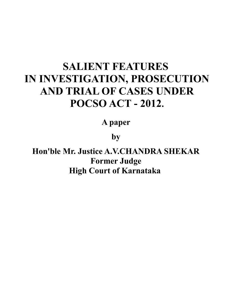## **SALIENT FEATURES IN INVESTIGATION, PROSECUTION AND TRIAL OF CASES UNDER POCSO ACT - 2012.**

**A paper** 

**by** 

**Hon'ble Mr. Justice A.V.CHANDRA SHEKAR Former Judge High Court of Karnataka**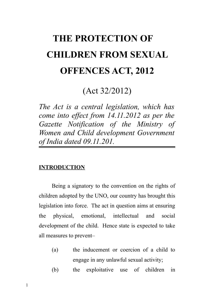# **THE PROTECTION OF CHILDREN FROM SEXUAL OFFENCES ACT, 2012**

## (Act 32/2012)

*The Act is a central legislation, which has come into effect from 14.11.2012 as per the Gazette Notification of the Ministry of Women and Child development Government of India dated 09.11.201.*

#### **INTRODUCTION**

Being a signatory to the convention on the rights of children adopted by the UNO, our country has brought this legislation into force. The act in question aims at ensuring the physical, emotional, intellectual and social development of the child. Hence state is expected to take all measures to prevent–

- (a) the inducement or coercion of a child to engage in any unlawful sexual activity;
- (b) the exploitative use of children in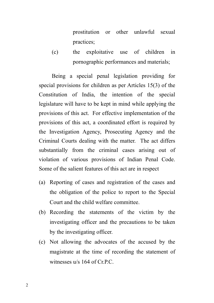prostitution or other unlawful sexual practices;

(c) the exploitative use of children in pornographic performances and materials;

Being a special penal legislation providing for special provisions for children as per Articles 15(3) of the Constitution of India, the intention of the special legislature will have to be kept in mind while applying the provisions of this act. For effective implementation of the provisions of this act, a coordinated effort is required by the Investigation Agency, Prosecuting Agency and the Criminal Courts dealing with the matter. The act differs substantially from the criminal cases arising out of violation of various provisions of Indian Penal Code. Some of the salient features of this act are in respect

- (a) Reporting of cases and registration of the cases and the obligation of the police to report to the Special Court and the child welfare committee.
- (b) Recording the statements of the victim by the investigating officer and the precautions to be taken by the investigating officer.
- (c) Not allowing the advocates of the accused by the magistrate at the time of recording the statement of witnesses u/s 164 of Cr.P.C.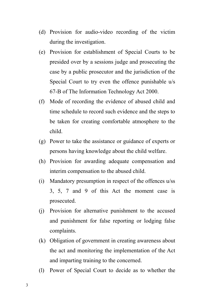- (d) Provision for audio-video recording of the victim during the investigation.
- (e) Provision for establishment of Special Courts to be presided over by a sessions judge and prosecuting the case by a public prosecutor and the jurisdiction of the Special Court to try even the offence punishable u/s 67-B of The Information Technology Act 2000.
- (f) Mode of recording the evidence of abused child and time schedule to record such evidence and the steps to be taken for creating comfortable atmosphere to the child.
- (g) Power to take the assistance or guidance of experts or persons having knowledge about the child welfare.
- (h) Provision for awarding adequate compensation and interim compensation to the abused child.
- (i) Mandatory presumption in respect of the offences u/ss 3, 5, 7 and 9 of this Act the moment case is prosecuted.
- (j) Provision for alternative punishment to the accused and punishment for false reporting or lodging false complaints.
- (k) Obligation of government in creating awareness about the act and monitoring the implementation of the Act and imparting training to the concerned.
- (l) Power of Special Court to decide as to whether the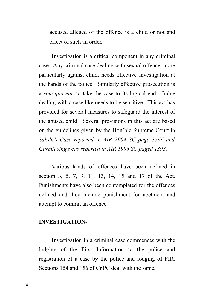accused alleged of the offence is a child or not and effect of such an order.

Investigation is a critical component in any criminal case. Any criminal case dealing with sexual offence, more particularly against child, needs effective investigation at the hands of the police. Similarly effective prosecution is a *sine-qua-non* to take the case to its logical end. Judge dealing with a case like needs to be sensitive. This act has provided for several measures to safeguard the interest of the abused child. Several provisions in this act are based on the guidelines given by the Hon'ble Supreme Court in *Sakshi's Case reported in AIR 2004 SC page 3566 and Gurmit sing's cas reported in AIR 1996 SC paged 1393.*

Various kinds of offences have been defined in section 3, 5, 7, 9, 11, 13, 14, 15 and 17 of the Act. Punishments have also been contemplated for the offences defined and they include punishment for abetment and attempt to commit an offence.

#### **INVESTIGATION-**

Investigation in a criminal case commences with the lodging of the First Information to the police and registration of a case by the police and lodging of FIR. Sections 154 and 156 of Cr.PC deal with the same.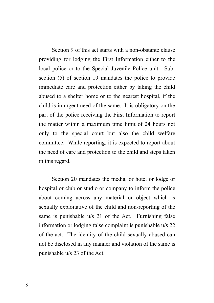Section 9 of this act starts with a non-obstante clause providing for lodging the First Information either to the local police or to the Special Juvenile Police unit. Subsection (5) of section 19 mandates the police to provide immediate care and protection either by taking the child abused to a shelter home or to the nearest hospital, if the child is in urgent need of the same. It is obligatory on the part of the police receiving the First Information to report the matter within a maximum time limit of 24 hours not only to the special court but also the child welfare committee. While reporting, it is expected to report about the need of care and protection to the child and steps taken in this regard.

Section 20 mandates the media, or hotel or lodge or hospital or club or studio or company to inform the police about coming across any material or object which is sexually exploitative of the child and non-reporting of the same is punishable u/s 21 of the Act. Furnishing false information or lodging false complaint is punishable u/s 22 of the act. The identity of the child sexually abused can not be disclosed in any manner and violation of the same is punishable u/s 23 of the Act.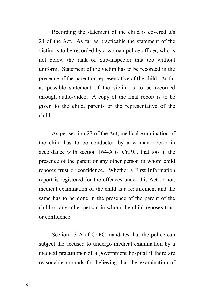Recording the statement of the child is covered u/s 24 of the Act. As far as practicable the statement of the victim is to be recorded by a woman police officer, who is not below the rank of Sub-Inspector that too without uniform. Statement of the victim has to be recorded in the presence of the parent or representative of the child. As far as possible statement of the victim is to be recorded through audio-video. A copy of the final report is to be given to the child, parents or the representative of the child.

As per section 27 of the Act, medical examination of the child has to be conducted by a woman doctor in accordance with section 164-A of Cr.P.C. that too in the presence of the parent or any other person in whom child reposes trust or confidence. Whether a First Information report is registered for the offences under this Act or not, medical examination of the child is a requirement and the same has to be done in the presence of the parent of the child or any other person in whom the child reposes trust or confidence.

Section 53-A of Cr.PC mandates that the police can subject the accused to undergo medical examination by a medical practitioner of a government hospital if there are reasonable grounds for believing that the examination of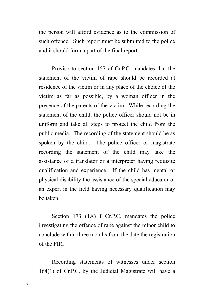the person will afford evidence as to the commission of such offence. Such report must be submitted to the police and it should form a part of the final report.

Proviso to section 157 of Cr.P.C. mandates that the statement of the victim of rape should be recorded at residence of the victim or in any place of the choice of the victim as far as possible, by a woman officer in the presence of the parents of the victim. While recording the statement of the child, the police officer should not be in uniform and take all steps to protect the child from the public media. The recording of the statement should be as spoken by the child. The police officer or magistrate recording the statement of the child may take the assistance of a translator or a interpreter having requisite qualification and experience. If the child has mental or physical disability the assistance of the special educator or an expert in the field having necessary qualification may be taken.

Section 173 (1A) f Cr.P.C. mandates the police investigating the offence of rape against the minor child to conclude within three months from the date the registration of the FIR.

Recording statements of witnesses under section 164(1) of Cr.P.C. by the Judicial Magistrate will have a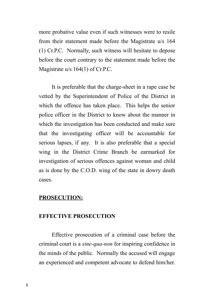more probative value even if such witnesses were to resile from their statement made before the Magistrate u/s 164 (1) Cr.P.C. Normally, such witness will hesitate to depose before the court contrary to the statement made before the Magistrate u/s 164(1) of Cr.P.C.

It is preferable that the charge-sheet in a rape case be vetted by the Superintendent of Police of the District in which the offence has taken place. This helps the senior police officer in the District to know about the manner in which the investigation has been conducted and make sure that the investigating officer will be accountable for serious lapses, if any. It is also preferable that a special wing in the District Crime Branch be earmarked for investigation of serious offences against woman and child as is done by the C.O.D. wing of the state in dowry death cases.

#### **PROSECUTION:**

#### **EFFECTIVE PROSECUTION**

Effective prosecution of a criminal case before the criminal court is a *sine-qua-non* for inspiring confidence in the minds of the public. Normally the accused will engage an experienced and competent advocate to defend him/her.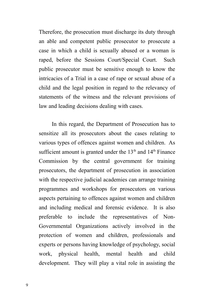Therefore, the prosecution must discharge its duty through an able and competent public prosecutor to prosecute a case in which a child is sexually abused or a woman is raped, before the Sessions Court/Special Court. Such public prosecutor must be sensitive enough to know the intricacies of a Trial in a case of rape or sexual abuse of a child and the legal position in regard to the relevancy of statements of the witness and the relevant provisions of law and leading decisions dealing with cases.

In this regard, the Department of Prosecution has to sensitize all its prosecutors about the cases relating to various types of offences against women and children. As sufficient amount is granted under the  $13<sup>th</sup>$  and  $14<sup>th</sup>$  Finance Commission by the central government for training prosecutors, the department of prosecution in association with the respective judicial academies can arrange training programmes and workshops for prosecutors on various aspects pertaining to offences against women and children and including medical and forensic evidence. It is also preferable to include the representatives of Non-Governmental Organizations actively involved in the protection of women and children, professionals and experts or persons having knowledge of psychology, social work, physical health, mental health and child development. They will play a vital role in assisting the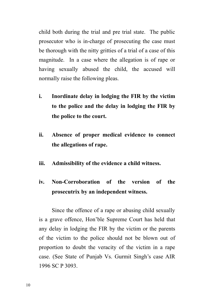child both during the trial and pre trial state. The public prosecutor who is in-charge of prosecuting the case must be thorough with the nitty gritties of a trial of a case of this magnitude. In a case where the allegation is of rape or having sexually abused the child, the accused will normally raise the following pleas.

- **i. Inordinate delay in lodging the FIR by the victim to the police and the delay in lodging the FIR by the police to the court.**
- **ii. Absence of proper medical evidence to connect the allegations of rape.**
- **iii. Admissibility of the evidence a child witness.**

## **iv. Non-Corroboration of the version of the prosecutrix by an independent witness.**

Since the offence of a rape or abusing child sexually is a grave offence, Hon'ble Supreme Court has held that any delay in lodging the FIR by the victim or the parents of the victim to the police should not be blown out of proportion to doubt the veracity of the victim in a rape case. (See State of Punjab Vs. Gurmit Singh's case AIR 1996 SC P 3093.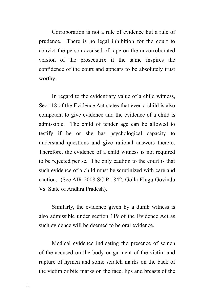Corroboration is not a rule of evidence but a rule of prudence. There is no legal inhibition for the court to convict the person accused of rape on the uncorroborated version of the prosecutrix if the same inspires the confidence of the court and appears to be absolutely trust worthy.

In regard to the evidentiary value of a child witness, Sec.118 of the Evidence Act states that even a child is also competent to give evidence and the evidence of a child is admissible. The child of tender age can be allowed to testify if he or she has psychological capacity to understand questions and give rational answers thereto. Therefore, the evidence of a child witness is not required to be rejected per se. The only caution to the court is that such evidence of a child must be scrutinized with care and caution. (See AIR 2008 SC P 1842, Golla Elugu Govindu Vs. State of Andhra Pradesh).

Similarly, the evidence given by a dumb witness is also admissible under section 119 of the Evidence Act as such evidence will be deemed to be oral evidence.

Medical evidence indicating the presence of semen of the accused on the body or garment of the victim and rupture of hymen and some scratch marks on the back of the victim or bite marks on the face, lips and breasts of the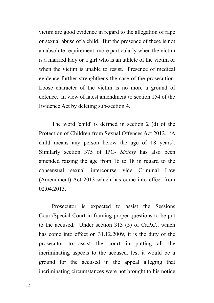victim are good evidence in regard to the allegation of rape or sexual abuse of a child. But the presence of these is not an absolute requirement, more particularly when the victim is a married lady or a girl who is an athlete of the victim or when the victim is unable to resist. Presence of medical evidence further strenghthens the case of the prosecution. Loose character of the victim is no more a ground of defence. In view of latest amendment to section 154 of the Evidence Act by deleting sub-section 4.

The word 'child' is defined in section 2 (d) of the Protection of Children from Sexual Offences Act 2012. 'A child means any person below the age of 18 years'. Similarly section 375 of IPC- *Sixthly* has also been amended raising the age from 16 to 18 in regard to the consensual sexual intercourse vide Criminal Law (Amendment) Act 2013 which has come into effect from 02.04.2013.

Prosecutor is expected to assist the Sessions Court/Special Court in framing proper questions to be put to the accused. Under section 313 (5) of Cr.P.C., which has come into effect on 31.12.2009, it is the duty of the prosecutor to assist the court in putting all the incriminating aspects to the accused, lest it would be a ground for the accused in the appeal alleging that incriminating circumstances were not brought to his notice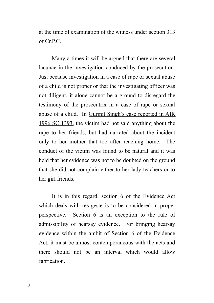at the time of examination of the witness under section 313 of  $CrPC$ .

Many a times it will be argued that there are several lacunae in the investigation conduced by the prosecution. Just because investigation in a case of rape or sexual abuse of a child is not proper or that the investigating officer was not diligent, it alone cannot be a ground to disregard the testimony of the prosecutrix in a case of rape or sexual abuse of a child. In Gurmit Singh's case reported in AIR 1996 SC 1393, the victim had not said anything about the rape to her friends, but had narrated about the incident only to her mother that too after reaching home. The conduct of the victim was found to be natural and it was held that her evidence was not to be doubted on the ground that she did not complain either to her lady teachers or to her girl friends.

It is in this regard, section 6 of the Evidence Act which deals with res-geste is to be considered in proper perspective. Section 6 is an exception to the rule of admissibility of hearsay evidence. For bringing hearsay evidence within the ambit of Section 6 of the Evidence Act, it must be almost contemporaneous with the acts and there should not be an interval which would allow fabrication.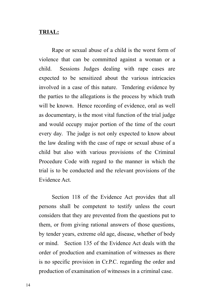#### **TRIAL:**

Rape or sexual abuse of a child is the worst form of violence that can be committed against a woman or a child. Sessions Judges dealing with rape cases are expected to be sensitized about the various intricacies involved in a case of this nature. Tendering evidence by the parties to the allegations is the process by which truth will be known. Hence recording of evidence, oral as well as documentary, is the most vital function of the trial judge and would occupy major portion of the time of the court every day. The judge is not only expected to know about the law dealing with the case of rape or sexual abuse of a child but also with various provisions of the Criminal Procedure Code with regard to the manner in which the trial is to be conducted and the relevant provisions of the Evidence Act.

Section 118 of the Evidence Act provides that all persons shall be competent to testify unless the court considers that they are prevented from the questions put to them, or from giving rational answers of those questions, by tender years, extreme old age, disease, whether of body or mind. Section 135 of the Evidence Act deals with the order of production and examination of witnesses as there is no specific provision in Cr.P.C. regarding the order and production of examination of witnesses in a criminal case.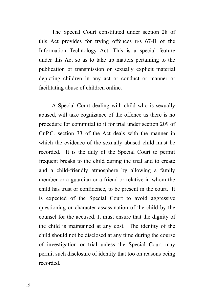The Special Court constituted under section 28 of this Act provides for trying offences u/s 67-B of the Information Technology Act. This is a special feature under this Act so as to take up matters pertaining to the publication or transmission or sexually explicit material depicting children in any act or conduct or manner or facilitating abuse of children online.

A Special Court dealing with child who is sexually abused, will take cognizance of the offence as there is no procedure for committal to it for trial under section 209 of Cr.P.C. section 33 of the Act deals with the manner in which the evidence of the sexually abused child must be recorded. It is the duty of the Special Court to permit frequent breaks to the child during the trial and to create and a child-friendly atmosphere by allowing a family member or a guardian or a friend or relative in whom the child has trust or confidence, to be present in the court. It is expected of the Special Court to avoid aggressive questioning or character assassination of the child by the counsel for the accused. It must ensure that the dignity of the child is maintained at any cost. The identity of the child should not be disclosed at any time during the course of investigation or trial unless the Special Court may permit such disclosure of identity that too on reasons being recorded.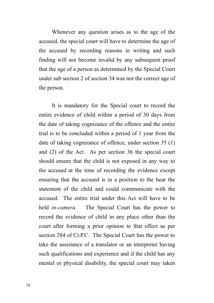Whenever any question arises as to the age of the accused, the special court will have to determine the age of the accused by recording reasons in writing and such finding will not become invalid by any subsequent proof that the age of a person as determined by the Special Court under sub section 2 of section 34 was not the correct age of the person.

It is mandatory for the Special court to record the entire evidence of child within a period of 30 days from the date of taking cognizance of the offence and the entire trial is to be concluded within a period of 1 year from the date of taking cognizance of offence, under section 35 (1) and (2) of the Act. As per section 36 the special court should ensure that the child is not exposed in any way to the accused at the time of recording the evidence except ensuring that the accused is in a position to the hear the statement of the child and could communicate with the accused. The entire trial under this Act will have to be held *in-camera.* The Special Court has the power to record the evidence of child in any place other than the court after forming a prior opinion to that effect as per section 284 of Cr.P.C. The Special Court has the power to take the assistance of a translator or an interpreter having such qualifications and experience and if the child has any mental or physical disability, the special court may taken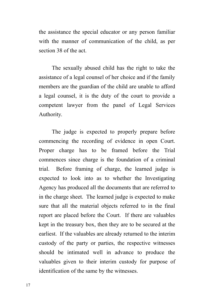the assistance the special educator or any person familiar with the manner of communication of the child, as per section 38 of the act.

The sexually abused child has the right to take the assistance of a legal counsel of her choice and if the family members are the guardian of the child are unable to afford a legal counsel, it is the duty of the court to provide a competent lawyer from the panel of Legal Services Authority.

The judge is expected to properly prepare before commencing the recording of evidence in open Court. Proper charge has to be framed before the Trial commences since charge is the foundation of a criminal trial. Before framing of charge, the learned judge is expected to look into as to whether the Investigating Agency has produced all the documents that are referred to in the charge sheet. The learned judge is expected to make sure that all the material objects referred to in the final report are placed before the Court. If there are valuables kept in the treasury box, then they are to be secured at the earliest. If the valuables are already returned to the interim custody of the party or parties, the respective witnesses should be intimated well in advance to produce the valuables given to their interim custody for purpose of identification of the same by the witnesses.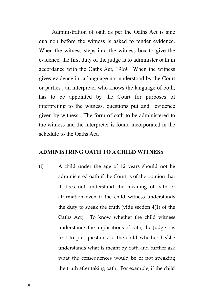Administration of oath as per the Oaths Act is sine qua non before the witness is asked to tender evidence. When the witness steps into the witness box to give the evidence, the first duty of the judge is to administer oath in accordance with the Oaths Act, 1969. When the witness gives evidence in a language not understood by the Court or parties , an interpreter who knows the language of both, has to be appointed by the Court for purposes of interpreting to the witness, questions put and evidence given by witness. The form of oath to be administered to the witness and the interpreter is found incorporated in the schedule to the Oaths Act.

#### **ADMINISTRING OATH TO A CHILD WITNESS**

(i) A child under the age of 12 years should not be administered oath if the Court is of the opinion that it does not understand the meaning of oath or affirmation even if the child witness understands the duty to speak the truth (vide section 4(1) of the Oaths Act). To know whether the child witness understands the implications of oath, the Judge has first to put questions to the child whether he/she understands what is meant by oath and further ask what the consequences would be of not speaking the truth after taking oath. For example, if the child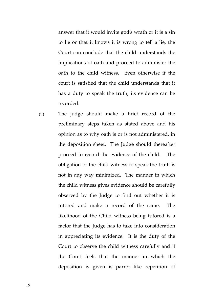answer that it would invite god's wrath or it is a sin to lie or that it knows it is wrong to tell a lie, the Court can conclude that the child understands the implications of oath and proceed to administer the oath to the child witness. Even otherwise if the court is satisfied that the child understands that it has a duty to speak the truth, its evidence can be recorded.

(ii) The judge should make a brief record of the preliminary steps taken as stated above and his opinion as to why oath is or is not administered, in the deposition sheet. The Judge should thereafter proceed to record the evidence of the child. The obligation of the child witness to speak the truth is not in any way minimized. The manner in which the child witness gives evidence should be carefully observed by the Judge to find out whether it is tutored and make a record of the same. The likelihood of the Child witness being tutored is a factor that the Judge has to take into consideration in appreciating its evidence. It is the duty of the Court to observe the child witness carefully and if the Court feels that the manner in which the deposition is given is parrot like repetition of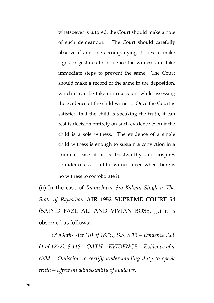whatsoever is tutored, the Court should make a note of such demeanour. The Court should carefully observe if any one accompanying it tries to make signs or gestures to influence the witness and take immediate steps to prevent the same. The Court should make a record of the same in the deposition, which it can be taken into account while assessing the evidence of the child witness. Once the Court is satisfied that the child is speaking the truth, it can rest is decision entirely on such evidence even if the child is a sole witness. The evidence of a single child witness is enough to sustain a conviction in a criminal case if it is trustworthy and inspires confidence as a truthful witness even when there is no witness to corroborate it.

(ii) In the case of *Rameshwar S/o Kalyan Singh v. The State of Rajasthan* **AIR 1952 SUPREME COURT 54 (**SAIYID FAZL ALI AND VIVIAN BOSE, JJ.) it is observed as follows:

*(A)Oaths Act (10 of 1873), S.5, S.13 – Evidence Act (1 of 1872), S.118 – OATH – EVIDENCE – Evidence of a child – Omission to certify understanding duty to speak truth – Effect on admissibility of evidence.*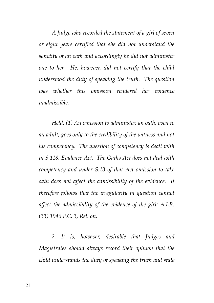*A Judge who recorded the statement of a girl of seven or eight years certified that she did not understand the sanctity of an oath and accordingly he did not administer one to her. He, however, did not certify that the child understood the duty of speaking the truth. The question was whether this omission rendered her evidence inadmissible.* 

*Held, (1) An omission to administer, an oath, even to an adult, goes only to the credibility of the witness and not his competency. The question of competency is dealt with in S.118, Evidence Act. The Oaths Act does not deal with competency and under S.13 of that Act omission to take oath does not affect the admissibility of the evidence. It therefore follows that the irregularity in question cannot affect the admissibility of the evidence of the girl: A.I.R. (33) 1946 P.C. 3, Rel. on.*

*2. It is, however, desirable that Judges and Magistrates should always record their opinion that the child understands the duty of speaking the truth and state*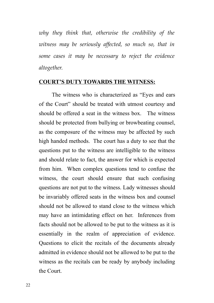*why they think that, otherwise the credibility of the witness may be seriously affected, so much so, that in some cases it may be necessary to reject the evidence altogether.*

#### **COURT'S DUTY TOWARDS THE WITNESS:**

The witness who is characterized as "Eyes and ears of the Court" should be treated with utmost courtesy and should be offered a seat in the witness box. The witness should be protected from bullying or browbeating counsel, as the composure of the witness may be affected by such high handed methods. The court has a duty to see that the questions put to the witness are intelligible to the witness and should relate to fact, the answer for which is expected from him. When complex questions tend to confuse the witness, the court should ensure that such confusing questions are not put to the witness. Lady witnesses should be invariably offered seats in the witness box and counsel should not be allowed to stand close to the witness which may have an intimidating effect on her. Inferences from facts should not be allowed to be put to the witness as it is essentially in the realm of appreciation of evidence. Questions to elicit the recitals of the documents already admitted in evidence should not be allowed to be put to the witness as the recitals can be ready by anybody including the Court.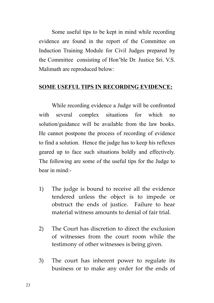Some useful tips to be kept in mind while recording evidence are found in the report of the Committee on Induction Training Module for Civil Judges prepared by the Committee consisting of Hon'ble Dr. Justice Sri. V.S. Malimath are reproduced below:

#### **SOME USEFUL TIPS IN RECORDING EVIDENCE:**

While recording evidence a Judge will be confronted with several complex situations for which no solution/guidance will be available from the law books. He cannot postpone the process of recording of evidence to find a solution. Hence the judge has to keep his reflexes geared up to face such situations boldly and effectively. The following are some of the useful tips for the Judge to bear in mind:-

- 1) The judge is bound to receive all the evidence tendered unless the object is to impede or obstruct the ends of justice. Failure to hear material witness amounts to denial of fair trial.
- 2) The Court has discretion to direct the exclusion of witnesses from the court room while the testimony of other witnesses is being given.
- 3) The court has inherent power to regulate its business or to make any order for the ends of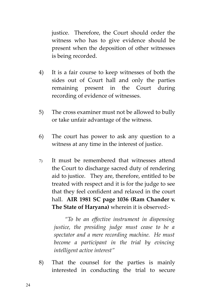justice. Therefore, the Court should order the witness who has to give evidence should be present when the deposition of other witnesses is being recorded.

- 4) It is a fair course to keep witnesses of both the sides out of Court hall and only the parties remaining present in the Court during recording of evidence of witnesses.
- 5) The cross examiner must not be allowed to bully or take unfair advantage of the witness.
- 6) The court has power to ask any question to a witness at any time in the interest of justice.
- 7) It must be remembered that witnesses attend the Court to discharge sacred duty of rendering aid to justice. They are, therefore, entitled to be treated with respect and it is for the judge to see that they feel confident and relaxed in the court hall. **AIR 1981 SC page 1036 (Ram Chander v. The State of Haryana)** wherein it is observed:-

*"To be an effective instrument in dispensing justice, the presiding judge must cease to be a spectator and a mere recording machine. He must become a participant in the trial by evincing intelligent active interest"*

8) That the counsel for the parties is mainly interested in conducting the trial to secure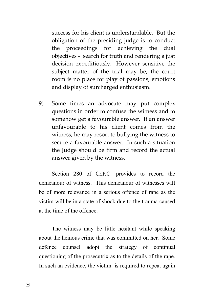success for his client is understandable. But the obligation of the presiding judge is to conduct the proceedings for achieving the dual objectives - search for truth and rendering a just decision expeditiously. However sensitive the subject matter of the trial may be, the court room is no place for play of passions, emotions and display of surcharged enthusiasm.

9) Some times an advocate may put complex questions in order to confuse the witness and to somehow get a favourable answer. If an answer unfavourable to his client comes from the witness, he may resort to bullying the witness to secure a favourable answer. In such a situation the Judge should be firm and record the actual answer given by the witness.

Section 280 of Cr.P.C. provides to record the demeanour of witness. This demeanour of witnesses will be of more relevance in a serious offence of rape as the victim will be in a state of shock due to the trauma caused at the time of the offence.

The witness may be little hesitant while speaking about the heinous crime that was committed on her. Some defence counsel adopt the strategy of continual questioning of the prosecutrix as to the details of the rape. In such an evidence, the victim is required to repeat again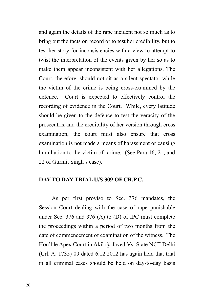and again the details of the rape incident not so much as to bring out the facts on record or to test her credibility, but to test her story for inconsistencies with a view to attempt to twist the interpretation of the events given by her so as to make them appear inconsistent with her allegations. The Court, therefore, should not sit as a silent spectator while the victim of the crime is being cross-examined by the defence. Court is expected to effectively control the recording of evidence in the Court. While, every latitude should be given to the defence to test the veracity of the prosecutrix and the credibility of her version through cross examination, the court must also ensure that cross examination is not made a means of harassment or causing humiliation to the victim of crime. (See Para 16, 21, and 22 of Gurmit Singh's case).

#### **DAY TO DAY TRIAL U/S 309 OF CR.P.C.**

As per first proviso to Sec. 376 mandates, the Session Court dealing with the case of rape punishable under Sec. 376 and 376 (A) to (D) of IPC must complete the proceedings within a period of two months from the date of commencement of examination of the witness. The Hon'ble Apex Court in Akil @ Javed Vs. State NCT Delhi (Crl. A. 1735) 09 dated 6.12.2012 has again held that trial in all criminal cases should be held on day-to-day basis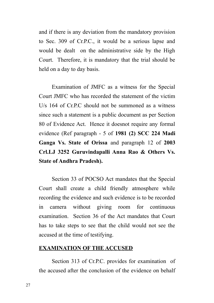and if there is any deviation from the mandatory provision to Sec. 309 of Cr.P.C., it would be a serious lapse and would be dealt on the administrative side by the High Court. Therefore, it is mandatory that the trial should be held on a day to day basis.

Examination of JMFC as a witness for the Special Court JMFC who has recorded the statement of the victim U/s 164 of Cr.P.C should not be summoned as a witness since such a statement is a public document as per Section 80 of Evidence Act. Hence it doesnot require any formal evidence (Ref paragraph - 5 of **1981 (2) SCC 224 Madi Ganga Vs. State of Orissa** and paragraph 12 of **2003 Crl.LJ 3252 Guruvindapalli Anna Rao & Others Vs. State of Andhra Pradesh).**

Section 33 of POCSO Act mandates that the Special Court shall create a child friendly atmosphere while recording the evidence and such evidence is to be recorded in camera without giving room for continuous examination. Section 36 of the Act mandates that Court has to take steps to see that the child would not see the accused at the time of testifying.

#### **EXAMINATION OF THE ACCUSED**

Section 313 of Cr.P.C. provides for examination of the accused after the conclusion of the evidence on behalf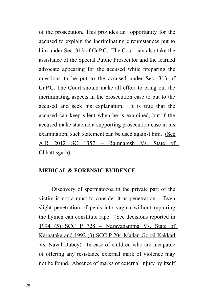of the prosecution. This provides an opportunity for the accused to explain the incriminating circumstances put to him under Sec. 313 of Cr.P.C. The Court can also take the assistance of the Special Public Prosecutor and the learned advocate appearing for the accused while preparing the questions to be put to the accused under Sec. 313 of Cr.P.C. The Court should make all effort to bring out the incriminating aspects in the prosecution case to put to the accused and seek his explanation. It is true that the accused can keep silent when he is examined, but if the accused make statement supporting prosecution case in his examination, such statement can be used against him. (See AIR 2012 SC 1357 – Ramnaresh Vs. State of Chhattisgarh).

#### **MEDICAL & FORENSIC EVIDENCE**

Discovery of spermatozoa in the private part of the victim is not a must to consider it as penetration. Even slight penetration of penis into vagina without rupturing the hymen can constitute rape. (See decisions reported in 1994 (5) SCC P 728 – Narayanamma Vs. State of Karnataka and 1992 (3) SCC P 204 Madan Gopal Kakkad Vs. Naval Dubey). In case of children who are incapable of offering any resistance external mark of violence may not be found. Absence of marks of external injury by itself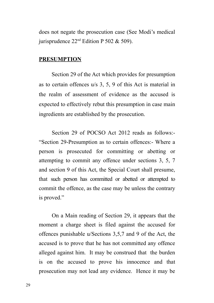does not negate the prosecution case (See Modi's medical jurisprudence  $22<sup>nd</sup>$  Edition P 502 & 509).

#### **PRESUMPTION**

Section 29 of the Act which provides for presumption as to certain offences u/s 3, 5, 9 of this Act is material in the realm of assessment of evidence as the accused is expected to effectively rebut this presumption in case main ingredients are established by the prosecution.

Section 29 of POCSO Act 2012 reads as follows:- "Section 29-Presumption as to certain offences:- Where a person is prosecuted for committing or abetting or attempting to commit any offence under sections 3, 5, 7 and section 9 of this Act, the Special Court shall presume, that such person has committed or abetted or attempted to commit the offence, as the case may be unless the contrary is proved."

On a Main reading of Section 29, it appears that the moment a charge sheet is filed against the accused for offences punishable u/Sections 3,5,7 and 9 of the Act, the accused is to prove that he has not committed any offence alleged against him. It may be construed that the burden is on the accused to prove his innocence and that prosecution may not lead any evidence. Hence it may be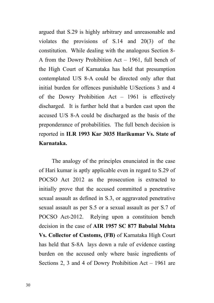argued that S.29 is highly arbitrary and unreasonable and violates the provisions of S.14 and 20(3) of the constitution. While dealing with the analogous Section 8- A from the Dowry Prohibition Act – 1961, full bench of the High Court of Karnataka has held that presumption contemplated U/S 8-A could be directed only after that initial burden for offences punishable U/Sections 3 and 4 of the Dowry Prohibition Act – 1961 is effectively discharged. It is further held that a burden cast upon the accused U/S 8-A could be discharged as the basis of the preponderance of probabilities. The full bench decision is reported in **ILR 1993 Kar 3035 Harikumar Vs. State of Karnataka.**

The analogy of the principles enunciated in the case of Hari kumar is aptly applicable even in regard to S.29 of POCSO Act 2012 as the prosecution is extracted to initially prove that the accused committed a penetrative sexual assault as defined in S.3, or aggravated penetrative sexual assault as per S.5 or a sexual assault as per S.7 of POCSO Act-2012. Relying upon a constituion bench decision in the case of **AIR 1957 SC 877 Babulal Mehta Vs. Collector of Customs, (FB)** of Karnataka High Court has held that S-8A lays down a rule of evidence casting burden on the accused only where basic ingredients of Sections 2, 3 and 4 of Dowry Prohibition Act – 1961 are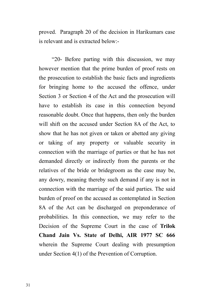proved. Paragraph 20 of the decision in Harikumars case is relevant and is extracted below:-

"20- Before parting with this discussion, we may however mention that the prime burden of proof rests on the prosecution to establish the basic facts and ingredients for bringing home to the accused the offence, under Section 3 or Section 4 of the Act and the prosecution will have to establish its case in this connection beyond reasonable doubt. Once that happens, then only the burden will shift on the accused under Section 8A of the Act, to show that he has not given or taken or abetted any giving or taking of any property or valuable security in connection with the marriage of parties or that he has not demanded directly or indirectly from the parents or the relatives of the bride or bridegroom as the case may be, any dowry, meaning thereby such demand if any is not in connection with the marriage of the said parties. The said burden of proof on the accused as contemplated in Section 8A of the Act can be discharged on preponderance of probabilities. In this connection, we may refer to the Decision of the Supreme Court in the case of **Trilok Chand Jain Vs. State of Delhi, AIR 1977 SC 666** wherein the Supreme Court dealing with presumption under Section 4(1) of the Prevention of Corruption.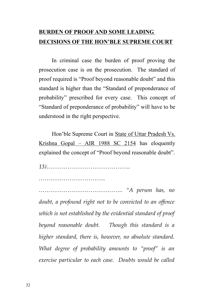### **BURDEN OF PROOF AND SOME LEADING DECISIONS OF THE HON'BLE SUPREME COURT**

In criminal case the burden of proof proving the prosecution case is on the prosecution. The standard of proof required is "Proof beyond reasonable doubt" and this standard is higher than the "Standard of preponderance of probability" prescribed for every case. This concept of "Standard of preponderance of probability" will have to be understood in the right perspective.

Hon'ble Supreme Court in State of Uttar Pradesh Vs. Krishna Gopal – AIR 1988 SC 2154 has eloquently explained the concept of "Proof beyond reasonable doubt".

*13)……………………………………..*

*……………………………..*

*…………………………………….. "A person has, no doubt, a profound right not to be convicted to an offence which is not established by the evidential standard of proof beyond reasonable doubt. Though this standard is a higher standard, there is, however, no absolute standard. What degree of probability amounts to "proof" is an exercise particular to each case. Doubts would be called*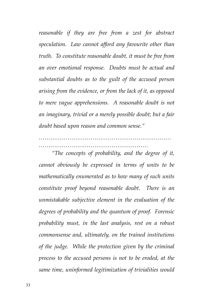*reasonable if they are free from a zest for abstract speculation. Law cannot afford any favourite other than truth. To constitute reasonable doubt, it must be free from an over emotional response. Doubts must be actual and substantial doubts as to the guilt of the accused person arising from the evidence, or from the lack of it, as opposed to mere vague apprehensions. A reasonable doubt is not an imaginary, trivial or a merely possible doubt; but a fair doubt based upon reason and common sense."*

*…………………………………………………………… …………………………………………………*

*"The concepts of probability, and the degree of it, cannot obviously be expressed in terms of units to be mathematically enumerated as to how many of such units constitute proof beyond reasonable doubt. There is an unmistakable subjective element in the evaluation of the degrees of probability and the quantum of proof. Forensic probability must, in the last analysis, rest on a robust commonsense and, ultimately, on the trained institutions of the judge. While the protection given by the criminal process to the accused persons is not to be eroded, at the same time, uninformed legitimization of trivialities would*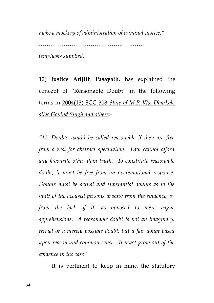*make a mockery of administration of criminal justice."*

*……………………………………………… (emphasis supplied)*

12) **Justice Arijith Pasayath**, has explained the concept of "Reasonable Doubt" in the following terms in 2004(13) SCC 308 *State of M.P. V/s. Dharkole alias Govind Singh and others:-*

*"11. Doubts would be called reasonable if they are free from a zest for abstract speculation. Law cannot afford any favourite other than truth. To constitute reasonable doubt, it must be free from an overemotional response. Doubts must be actual and substantial doubts as to the guilt of the accused persons arising from the evidence, or from the lack of it, as opposed to mere vague apprehensions. A reasonable doubt is not an imaginary, trivial or a merely possible doubt; but a fair doubt based upon reason and common sense. It must grow out of the evidence in the case"*

It is pertinent to keep in mind the statutory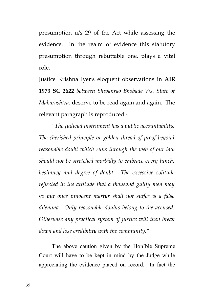presumption u/s 29 of the Act while assessing the evidence. In the realm of evidence this statutory presumption through rebuttable one, plays a vital role.

Justice Krishna Iyer's eloquent observations in **AIR 1973 SC 2622** *between Shivajirao Bhobade V/s. State of Maharashtra,* deserve to be read again and again. The relevant paragraph is reproduced:-

*"The Judicial instrument has a public accountability. The cherished principle or golden thread of proof beyond reasonable doubt which runs through the web of our law should not be stretched morbidly to embrace every lunch, hesitancy and degree of doubt. The excessive solitude reflected in the attitude that a thousand guilty men may go but once innocent martyr shall not suffer is a false dilemma. Only reasonable doubts belong to the accused. Otherwise any practical system of justice will then break down and lose credibility with the community."*

The above caution given by the Hon'ble Supreme Court will have to be kept in mind by the Judge while appreciating the evidence placed on record. In fact the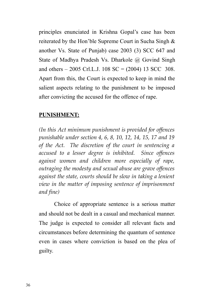principles enunciated in Krishna Gopal's case has been reiterated by the Hon'ble Supreme Court in Sucha Singh & another Vs. State of Punjab) case 2003 (3) SCC 647 and State of Madhya Pradesh Vs. Dharkole @ Govind Singh and others – 2005 Crl.L.J. 108 SC =  $(2004)$  13 SCC 308. Apart from this, the Court is expected to keep in mind the salient aspects relating to the punishment to be imposed after convicting the accused for the offence of rape.

#### **PUNISHMENT:**

*(In this Act minimum punishment is provided for offences punishable under section 4, 6, 8, 10, 12, 14, 15, 17 and 19 of the Act. The discretion of the court in sentencing a accused to a lesser degree is inhibited. Since offences against women and children more especially of rape, outraging the modesty and sexual abuse are grave offences against the state, courts should be slow in taking a lenient view in the matter of imposing sentence of imprisonment and fine)* 

Choice of appropriate sentence is a serious matter and should not be dealt in a casual and mechanical manner. The judge is expected to consider all relevant facts and circumstances before determining the quantum of sentence even in cases where conviction is based on the plea of guilty.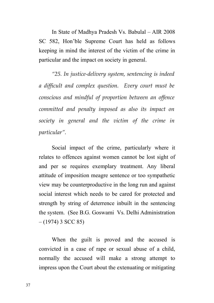In State of Madhya Pradesh Vs. Babulal – AIR 2008 SC 582, Hon'ble Supreme Court has held as follows keeping in mind the interest of the victim of the crime in particular and the impact on society in general.

*"25. In justice-delivery system, sentencing is indeed a difficult and complex question. Every court must be conscious and mindful of proportion between an offence committed and penalty imposed as also its impact on society in general and the victim of the crime in particular".*

Social impact of the crime, particularly where it relates to offences against women cannot be lost sight of and per se requires exemplary treatment. Any liberal attitude of imposition meagre sentence or too sympathetic view may be counterproductive in the long run and against social interest which needs to be cared for protected and strength by string of deterrence inbuilt in the sentencing the system. (See B.G. Goswami Vs. Delhi Administration  $- (1974)$  3 SCC 85)

When the guilt is proved and the accused is convicted in a case of rape or sexual abuse of a child, normally the accused will make a strong attempt to impress upon the Court about the extenuating or mitigating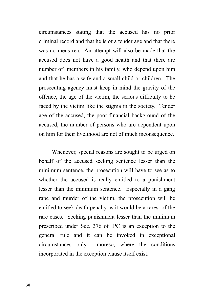circumstances stating that the accused has no prior criminal record and that he is of a tender age and that there was no mens rea. An attempt will also be made that the accused does not have a good health and that there are number of members in his family, who depend upon him and that he has a wife and a small child or children. The prosecuting agency must keep in mind the gravity of the offence, the age of the victim, the serious difficulty to be faced by the victim like the stigma in the society. Tender age of the accused, the poor financial background of the accused, the number of persons who are dependent upon on him for their livelihood are not of much inconsequence.

Whenever, special reasons are sought to be urged on behalf of the accused seeking sentence lesser than the minimum sentence, the prosecution will have to see as to whether the accused is really entitled to a punishment lesser than the minimum sentence. Especially in a gang rape and murder of the victim, the prosecution will be entitled to seek death penalty as it would be a rarest of the rare cases. Seeking punishment lesser than the minimum prescribed under Sec. 376 of IPC is an exception to the general rule and it can be invoked in exceptional circumstances only moreso, where the conditions incorporated in the exception clause itself exist.

38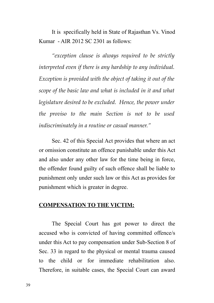It is specifically held in State of Rajasthan Vs. Vinod Kumar - AIR 2012 SC 2301 as follows:

*"exception clause is always required to be strictly interpreted even if there is any hardship to any individual. Exception is provided with the object of taking it out of the scope of the basic law and what is included in it and what legislature desired to be excluded. Hence, the power under the proviso to the main Section is not to be used indiscriminately in a routine or casual manner."* 

Sec. 42 of this Special Act provides that where an act or omission constitute an offence punishable under this Act and also under any other law for the time being in force, the offender found guilty of such offence shall be liable to punishment only under such law or this Act as provides for punishment which is greater in degree.

#### **COMPENSATION TO THE VICTIM:**

The Special Court has got power to direct the accused who is convicted of having committed offence/s under this Act to pay compensation under Sub-Section 8 of Sec. 33 in regard to the physical or mental trauma caused to the child or for immediate rehabilitation also. Therefore, in suitable cases, the Special Court can award